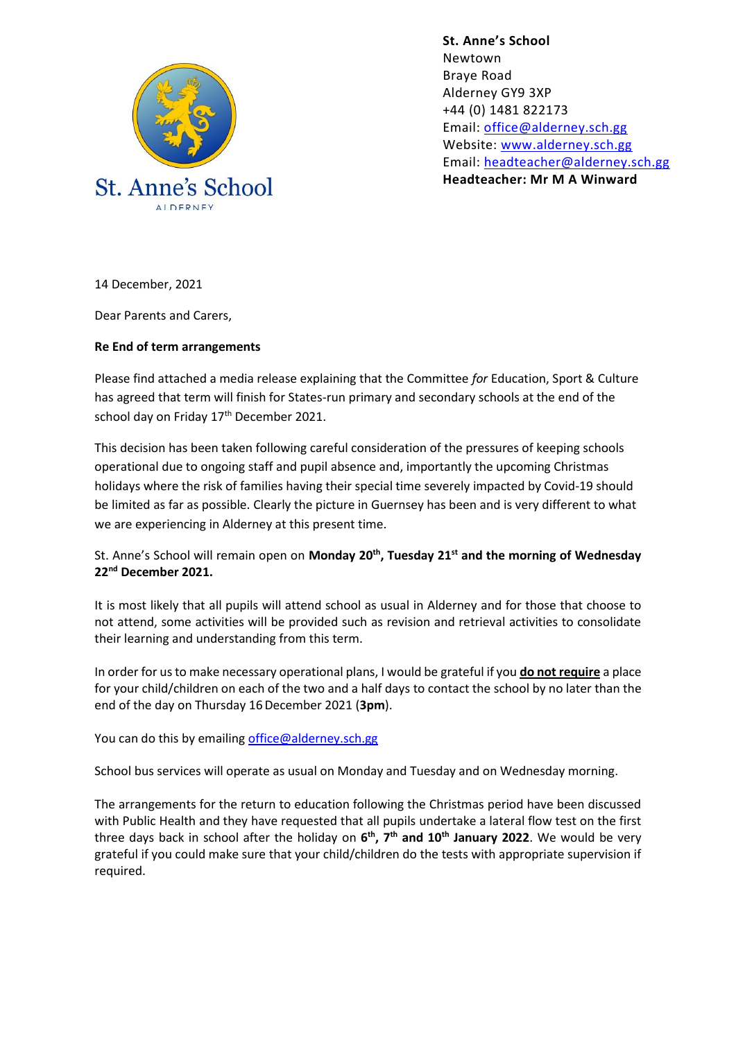

**St. Anne's School**  Newtown Braye Road Alderney GY9 3XP +44 (0) 1481 822173 Email: [office@alderney.sch.gg](mailto:office@alderney.sch.gg) Website: [www.alderney.sch.gg](http://www.alderney.sch.gg/) Email: [headteacher@alderney.sch.gg](mailto:headteacher@alderney.sch.gg) **Headteacher: Mr M A Winward**

14 December, 2021

Dear Parents and Carers,

## **Re End of term arrangements**

Please find attached a media release explaining that the Committee *for* Education, Sport & Culture has agreed that term will finish for States-run primary and secondary schools at the end of the school day on Friday 17<sup>th</sup> December 2021.

This decision has been taken following careful consideration of the pressures of keeping schools operational due to ongoing staff and pupil absence and, importantly the upcoming Christmas holidays where the risk of families having their special time severely impacted by Covid-19 should be limited as far as possible. Clearly the picture in Guernsey has been and is very different to what we are experiencing in Alderney at this present time.

## St. Anne's School will remain open on **Monday 20th, Tuesday 21st and the morning of Wednesday 22nd December 2021.**

It is most likely that all pupils will attend school as usual in Alderney and for those that choose to not attend, some activities will be provided such as revision and retrieval activities to consolidate their learning and understanding from this term.

In order for us to make necessary operational plans, I would be grateful if you **do not require** a place for your child/children on each of the two and a half days to contact the school by no later than the end of the day on Thursday 16December 2021 (**3pm**).

You can do this by emailing [office@alderney.sch.gg](mailto:office@alderney.sch.gg)

School bus services will operate as usual on Monday and Tuesday and on Wednesday morning.

The arrangements for the return to education following the Christmas period have been discussed with Public Health and they have requested that all pupils undertake a lateral flow test on the first three days back in school after the holiday on **6 th, 7th and 10th January 2022**. We would be very grateful if you could make sure that your child/children do the tests with appropriate supervision if required.